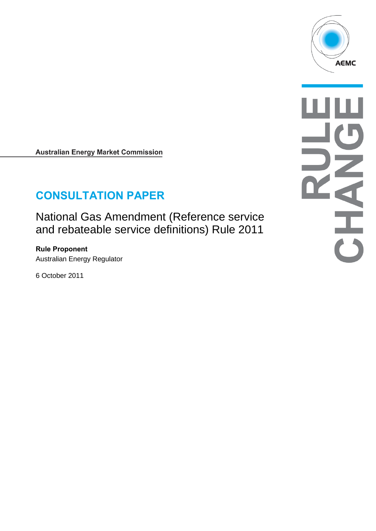

**Australian Energy Market Commission** 

# **CONSULTATION PAPER**

National Gas Amendment (Reference service and rebateable service definitions) Rule 2011

**Rule Proponent** Australian Energy Regulator

6 October 2011

 $\frac{1}{\sqrt{2}}$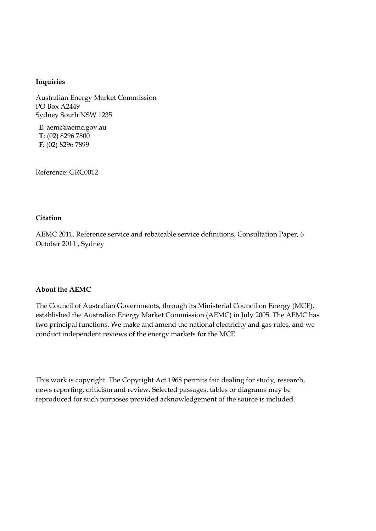#### **Inquiries**

Australian Energy Market Commission PO Box A2449 Sydney South NSW 1235

**E**: aemc@aemc.gov.au **T**: (02) 8296 7800 **F**: (02) 8296 7899

Reference: GRC0012

#### **Citation**

AEMC 2011, Reference service and rebateable service definitions, Consultation Paper, 6 October 2011 , Sydney

#### **About the AEMC**

The Council of Australian Governments, through its Ministerial Council on Energy (MCE), established the Australian Energy Market Commission (AEMC) in July 2005. The AEMC has two principal functions. We make and amend the national electricity and gas rules, and we conduct independent reviews of the energy markets for the MCE.

This work is copyright. The Copyright Act 1968 permits fair dealing for study, research, news reporting, criticism and review. Selected passages, tables or diagrams may be reproduced for such purposes provided acknowledgement of the source is included.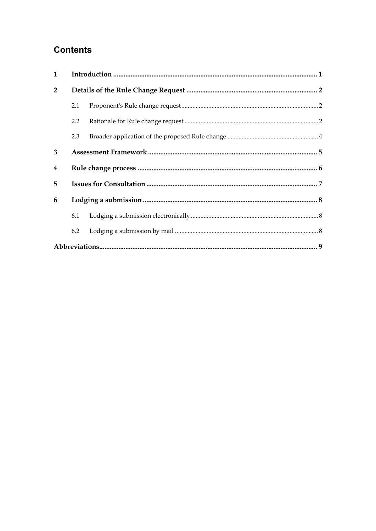## **Contents**

| $\mathbf{1}$   |     |  |  |  |  |
|----------------|-----|--|--|--|--|
| $\overline{2}$ |     |  |  |  |  |
|                | 2.1 |  |  |  |  |
|                | 2.2 |  |  |  |  |
|                | 2.3 |  |  |  |  |
| 3              |     |  |  |  |  |
| 4              |     |  |  |  |  |
| 5              |     |  |  |  |  |
| 6              |     |  |  |  |  |
|                | 6.1 |  |  |  |  |
|                | 6.2 |  |  |  |  |
|                |     |  |  |  |  |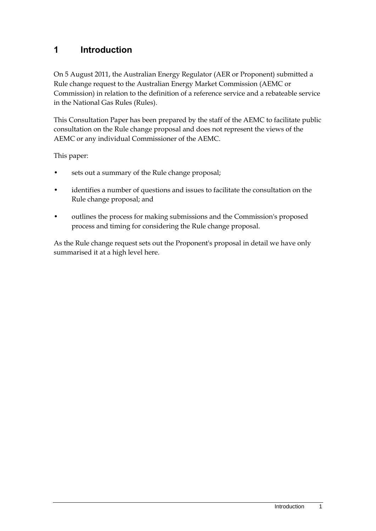### <span id="page-4-0"></span>**1 Introduction**

On 5 August 2011, the Australian Energy Regulator (AER or Proponent) submitted a Rule change request to the Australian Energy Market Commission (AEMC or Commission) in relation to the definition of a reference service and a rebateable service in the National Gas Rules (Rules).

This Consultation Paper has been prepared by the staff of the AEMC to facilitate public consultation on the Rule change proposal and does not represent the views of the AEMC or any individual Commissioner of the AEMC.

This paper:

- sets out a summary of the Rule change proposal;
- identifies a number of questions and issues to facilitate the consultation on the Rule change proposal; and
- outlines the process for making submissions and the Commission's proposed process and timing for considering the Rule change proposal.

As the Rule change request sets out the Proponent's proposal in detail we have only summarised it at a high level here.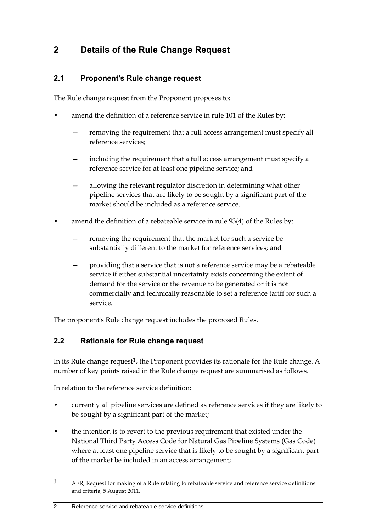## <span id="page-5-0"></span>**2 Details of the Rule Change Request**

### <span id="page-5-1"></span>**2.1 Proponent's Rule change request**

The Rule change request from the Proponent proposes to:

- amend the definition of a reference service in rule 101 of the Rules by:
	- removing the requirement that a full access arrangement must specify all reference services;
	- including the requirement that a full access arrangement must specify a reference service for at least one pipeline service; and
	- allowing the relevant regulator discretion in determining what other pipeline services that are likely to be sought by a significant part of the market should be included as a reference service.
- amend the definition of a rebateable service in rule 93(4) of the Rules by:
	- removing the requirement that the market for such a service be substantially different to the market for reference services; and
	- providing that a service that is not a reference service may be a rebateable service if either substantial uncertainty exists concerning the extent of demand for the service or the revenue to be generated or it is not commercially and technically reasonable to set a reference tariff for such a service.

The proponent's Rule change request includes the proposed Rules.

### <span id="page-5-2"></span>**2.2 Rationale for Rule change request**

In its Rule change request<sup>1</sup>, the Proponent provides its rationale for the Rule change. A number of key points raised in the Rule change request are summarised as follows.

In relation to the reference service definition:

- currently all pipeline services are defined as reference services if they are likely to be sought by a significant part of the market;
- the intention is to revert to the previous requirement that existed under the National Third Party Access Code for Natural Gas Pipeline Systems (Gas Code) where at least one pipeline service that is likely to be sought by a significant part of the market be included in an access arrangement;

#### 2 Reference service and rebateable service definitions

1

<sup>1</sup> AER, Request for making of a Rule relating to rebateable service and reference service definitions and criteria, 5 August 2011.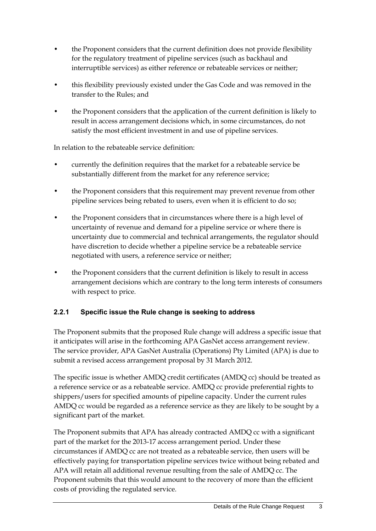- the Proponent considers that the current definition does not provide flexibility for the regulatory treatment of pipeline services (such as backhaul and interruptible services) as either reference or rebateable services or neither;
- this flexibility previously existed under the Gas Code and was removed in the transfer to the Rules; and
- the Proponent considers that the application of the current definition is likely to result in access arrangement decisions which, in some circumstances, do not satisfy the most efficient investment in and use of pipeline services.

In relation to the rebateable service definition:

- currently the definition requires that the market for a rebateable service be substantially different from the market for any reference service;
- the Proponent considers that this requirement may prevent revenue from other pipeline services being rebated to users, even when it is efficient to do so;
- the Proponent considers that in circumstances where there is a high level of uncertainty of revenue and demand for a pipeline service or where there is uncertainty due to commercial and technical arrangements, the regulator should have discretion to decide whether a pipeline service be a rebateable service negotiated with users, a reference service or neither;
- the Proponent considers that the current definition is likely to result in access arrangement decisions which are contrary to the long term interests of consumers with respect to price.

#### **2.2.1 Specific issue the Rule change is seeking to address**

The Proponent submits that the proposed Rule change will address a specific issue that it anticipates will arise in the forthcoming APA GasNet access arrangement review. The service provider, APA GasNet Australia (Operations) Pty Limited (APA) is due to submit a revised access arrangement proposal by 31 March 2012.

The specific issue is whether AMDQ credit certificates (AMDQ cc) should be treated as a reference service or as a rebateable service. AMDQ cc provide preferential rights to shippers/users for specified amounts of pipeline capacity. Under the current rules AMDQ cc would be regarded as a reference service as they are likely to be sought by a significant part of the market.

The Proponent submits that APA has already contracted AMDQ cc with a significant part of the market for the 2013-17 access arrangement period. Under these circumstances if AMDQ cc are not treated as a rebateable service, then users will be effectively paying for transportation pipeline services twice without being rebated and APA will retain all additional revenue resulting from the sale of AMDQ cc. The Proponent submits that this would amount to the recovery of more than the efficient costs of providing the regulated service.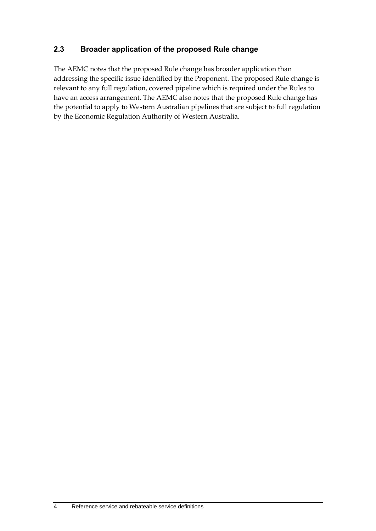### <span id="page-7-0"></span>**2.3 Broader application of the proposed Rule change**

The AEMC notes that the proposed Rule change has broader application than addressing the specific issue identified by the Proponent. The proposed Rule change is relevant to any full regulation, covered pipeline which is required under the Rules to have an access arrangement. The AEMC also notes that the proposed Rule change has the potential to apply to Western Australian pipelines that are subject to full regulation by the Economic Regulation Authority of Western Australia.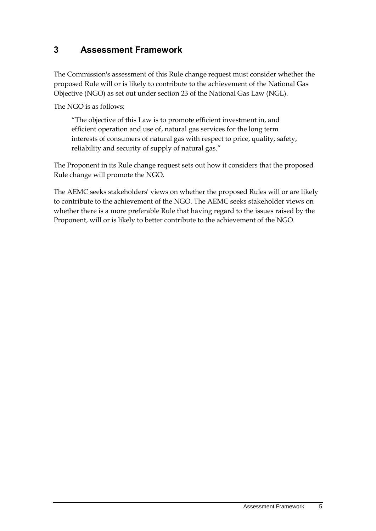### <span id="page-8-0"></span>**3 Assessment Framework**

The Commission's assessment of this Rule change request must consider whether the proposed Rule will or is likely to contribute to the achievement of the National Gas Objective (NGO) as set out under section 23 of the National Gas Law (NGL).

The NGO is as follows:

"The objective of this Law is to promote efficient investment in, and efficient operation and use of, natural gas services for the long term interests of consumers of natural gas with respect to price, quality, safety, reliability and security of supply of natural gas."

The Proponent in its Rule change request sets out how it considers that the proposed Rule change will promote the NGO.

The AEMC seeks stakeholders' views on whether the proposed Rules will or are likely to contribute to the achievement of the NGO. The AEMC seeks stakeholder views on whether there is a more preferable Rule that having regard to the issues raised by the Proponent, will or is likely to better contribute to the achievement of the NGO.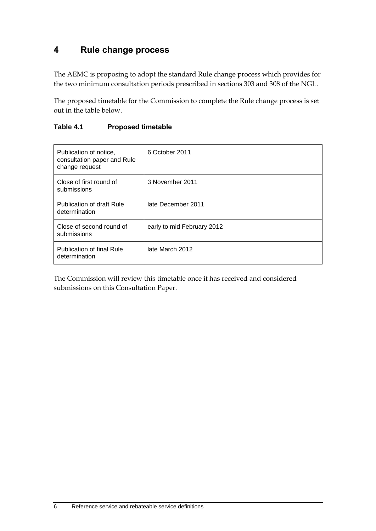### <span id="page-9-0"></span>**4 Rule change process**

The AEMC is proposing to adopt the standard Rule change process which provides for the two minimum consultation periods prescribed in sections 303 and 308 of the NGL.

The proposed timetable for the Commission to complete the Rule change process is set out in the table below.

| Publication of notice.<br>consultation paper and Rule<br>change request | 6 October 2011             |
|-------------------------------------------------------------------------|----------------------------|
| Close of first round of<br>submissions                                  | 3 November 2011            |
| Publication of draft Rule<br>determination                              | late December 2011         |
| Close of second round of<br>submissions                                 | early to mid February 2012 |
| <b>Publication of final Rule</b><br>determination                       | late March 2012            |

#### **Table 4.1 Proposed timetable**

The Commission will review this timetable once it has received and considered submissions on this Consultation Paper.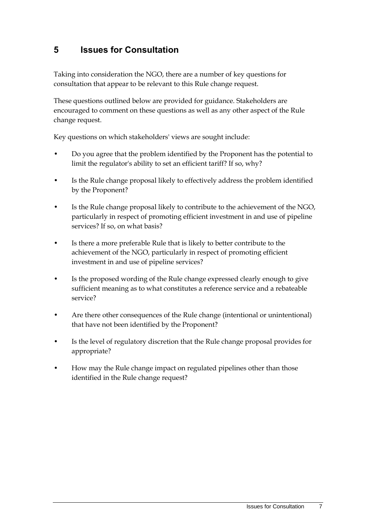### <span id="page-10-0"></span>**5 Issues for Consultation**

Taking into consideration the NGO, there are a number of key questions for consultation that appear to be relevant to this Rule change request.

These questions outlined below are provided for guidance. Stakeholders are encouraged to comment on these questions as well as any other aspect of the Rule change request.

Key questions on which stakeholders' views are sought include:

- Do you agree that the problem identified by the Proponent has the potential to limit the regulator's ability to set an efficient tariff? If so, why?
- Is the Rule change proposal likely to effectively address the problem identified by the Proponent?
- Is the Rule change proposal likely to contribute to the achievement of the NGO, particularly in respect of promoting efficient investment in and use of pipeline services? If so, on what basis?
- Is there a more preferable Rule that is likely to better contribute to the achievement of the NGO, particularly in respect of promoting efficient investment in and use of pipeline services?
- Is the proposed wording of the Rule change expressed clearly enough to give sufficient meaning as to what constitutes a reference service and a rebateable service?
- Are there other consequences of the Rule change (intentional or unintentional) that have not been identified by the Proponent?
- Is the level of regulatory discretion that the Rule change proposal provides for appropriate?
- How may the Rule change impact on regulated pipelines other than those identified in the Rule change request?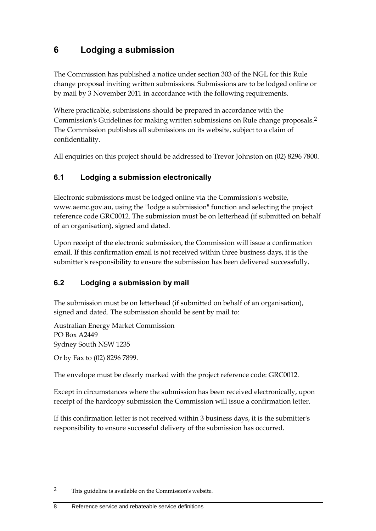## <span id="page-11-0"></span>**6 Lodging a submission**

The Commission has published a notice under section 303 of the NGL for this Rule change proposal inviting written submissions. Submissions are to be lodged online or by mail by 3 November 2011 in accordance with the following requirements.

Where practicable, submissions should be prepared in accordance with the Commission's Guidelines for making written submissions on Rule change proposals.2 The Commission publishes all submissions on its website, subject to a claim of confidentiality.

All enquiries on this project should be addressed to Trevor Johnston on (02) 8296 7800.

### <span id="page-11-1"></span>**6.1 Lodging a submission electronically**

Electronic submissions must be lodged online via the Commission's website, www.aemc.gov.au, using the "lodge a submission" function and selecting the project reference code GRC0012. The submission must be on letterhead (if submitted on behalf of an organisation), signed and dated.

Upon receipt of the electronic submission, the Commission will issue a confirmation email. If this confirmation email is not received within three business days, it is the submitter's responsibility to ensure the submission has been delivered successfully.

### <span id="page-11-2"></span>**6.2 Lodging a submission by mail**

The submission must be on letterhead (if submitted on behalf of an organisation), signed and dated. The submission should be sent by mail to:

Australian Energy Market Commission PO Box A2449 Sydney South NSW 1235

Or by Fax to (02) 8296 7899.

1

The envelope must be clearly marked with the project reference code: GRC0012.

Except in circumstances where the submission has been received electronically, upon receipt of the hardcopy submission the Commission will issue a confirmation letter.

If this confirmation letter is not received within 3 business days, it is the submitter's responsibility to ensure successful delivery of the submission has occurred.

<sup>2</sup> This guideline is available on the Commission's website.